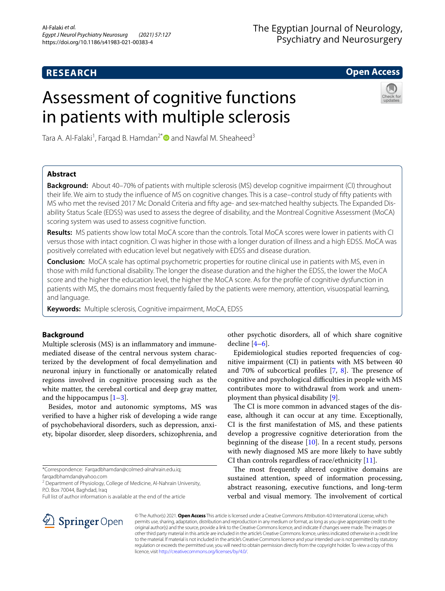# **RESEARCH**

# The Egyptian Journal of Neurology, Psychiatry and Neurosurgery

# **Open Access**

# Assessment of cognitive functions in patients with multiple sclerosis



Tara A. Al-Falaki<sup>1</sup>, Farqad B. Hamdan<sup>2[\\*](http://orcid.org/0000-0003-4994-3694)</sup> @and Nawfal M. Sheaheed<sup>3</sup>

# **Abstract**

**Background:** About 40–70% of patients with multiple sclerosis (MS) develop cognitive impairment (CI) throughout their life. We aim to study the infuence of MS on cognitive changes. This is a case–control study of ffty patients with MS who met the revised 2017 Mc Donald Criteria and ffty age- and sex-matched healthy subjects. The Expanded Dis‑ ability Status Scale (EDSS) was used to assess the degree of disability, and the Montreal Cognitive Assessment (MoCA) scoring system was used to assess cognitive function.

**Results:** MS patients show low total MoCA score than the controls. Total MoCA scores were lower in patients with CI versus those with intact cognition. CI was higher in those with a longer duration of illness and a high EDSS. MoCA was positively correlated with education level but negatively with EDSS and disease duration.

**Conclusion:** MoCA scale has optimal psychometric properties for routine clinical use in patients with MS, even in those with mild functional disability. The longer the disease duration and the higher the EDSS, the lower the MoCA score and the higher the education level, the higher the MoCA score. As for the profle of cognitive dysfunction in patients with MS, the domains most frequently failed by the patients were memory, attention, visuospatial learning, and language.

**Keywords:** Multiple sclerosis, Cognitive impairment, MoCA, EDSS

# **Background**

Multiple sclerosis (MS) is an infammatory and immunemediated disease of the central nervous system characterized by the development of focal demyelination and neuronal injury in functionally or anatomically related regions involved in cognitive processing such as the white matter, the cerebral cortical and deep gray matter, and the hippocampus  $[1-3]$  $[1-3]$  $[1-3]$ .

Besides, motor and autonomic symptoms, MS was verifed to have a higher risk of developing a wide range of psychobehavioral disorders, such as depression, anxiety, bipolar disorder, sleep disorders, schizophrenia, and

<sup>2</sup> Department of Physiology, College of Medicine, Al-Nahrain University, P.O. Box 70044, Baghdad, Iraq

other psychotic disorders, all of which share cognitive decline  $[4-6]$  $[4-6]$  $[4-6]$ .

Epidemiological studies reported frequencies of cognitive impairment (CI) in patients with MS between 40 and 70% of subcortical profiles  $[7, 8]$  $[7, 8]$  $[7, 8]$  $[7, 8]$ . The presence of cognitive and psychological difficulties in people with MS contributes more to withdrawal from work and unemployment than physical disability [\[9](#page-5-6)].

The CI is more common in advanced stages of the disease, although it can occur at any time. Exceptionally, CI is the frst manifestation of MS, and these patients develop a progressive cognitive deterioration from the beginning of the disease  $[10]$  $[10]$ . In a recent study, persons with newly diagnosed MS are more likely to have subtly CI than controls regardless of race/ethnicity  $[11]$  $[11]$  $[11]$ .

The most frequently altered cognitive domains are sustained attention, speed of information processing, abstract reasoning, executive functions, and long-term verbal and visual memory. The involvement of cortical



© The Author(s) 2021. **Open Access** This article is licensed under a Creative Commons Attribution 4.0 International License, which permits use, sharing, adaptation, distribution and reproduction in any medium or format, as long as you give appropriate credit to the original author(s) and the source, provide a link to the Creative Commons licence, and indicate if changes were made. The images or other third party material in this article are included in the article's Creative Commons licence, unless indicated otherwise in a credit line to the material. If material is not included in the article's Creative Commons licence and your intended use is not permitted by statutory regulation or exceeds the permitted use, you will need to obtain permission directly from the copyright holder. To view a copy of this licence, visit [http://creativecommons.org/licenses/by/4.0/.](http://creativecommons.org/licenses/by/4.0/)

<sup>\*</sup>Correspondence: Farqadbhamdan@colmed-alnahrain.edu.iq; farqadbhamdan@yahoo.com

Full list of author information is available at the end of the article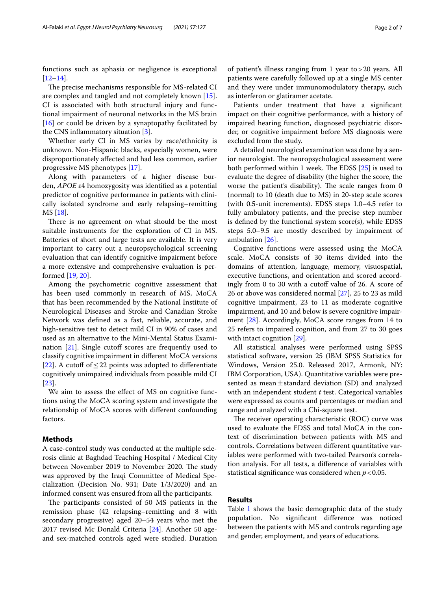functions such as aphasia or negligence is exceptional [[12–](#page-5-9)[14](#page-5-10)].

The precise mechanisms responsible for MS-related CI are complex and tangled and not completely known [\[15](#page-5-11)]. CI is associated with both structural injury and functional impairment of neuronal networks in the MS brain [[16\]](#page-5-12) or could be driven by a synaptopathy facilitated by the CNS inflammatory situation  $[3]$  $[3]$ .

Whether early CI in MS varies by race/ethnicity is unknown. Non-Hispanic blacks, especially women, were disproportionately afected and had less common, earlier progressive MS phenotypes [[17\]](#page-5-13).

Along with parameters of a higher disease burden, *APOE* ε4 homozygosity was identifed as a potential predictor of cognitive performance in patients with clinically isolated syndrome and early relapsing–remitting MS [\[18](#page-5-14)].

There is no agreement on what should be the most suitable instruments for the exploration of CI in MS. Batteries of short and large tests are available. It is very important to carry out a neuropsychological screening evaluation that can identify cognitive impairment before a more extensive and comprehensive evaluation is performed [\[19,](#page-5-15) [20](#page-6-0)].

Among the psychometric cognitive assessment that has been used commonly in research of MS, MoCA that has been recommended by the National Institute of Neurological Diseases and Stroke and Canadian Stroke Network was defned as a fast, reliable, accurate, and high-sensitive test to detect mild CI in 90% of cases and used as an alternative to the Mini-Mental Status Examination  $[21]$  $[21]$ . Single cutoff scores are frequently used to classify cognitive impairment in diferent MoCA versions [[22\]](#page-6-2). A cutoff of  $\leq$  22 points was adopted to differentiate cognitively unimpaired individuals from possible mild CI [[23\]](#page-6-3).

We aim to assess the efect of MS on cognitive functions using the MoCA scoring system and investigate the relationship of MoCA scores with diferent confounding factors.

### **Methods**

A case-control study was conducted at the multiple sclerosis clinic at Baghdad Teaching Hospital / Medical City between November 2019 to November 2020. The study was approved by the Iraqi Committee of Medical Specialization (Decision No. 931; Date 1/3/2020) and an informed consent was ensured from all the participants.

The participants consisted of 50 MS patients in the remission phase (42 relapsing–remitting and 8 with secondary progressive) aged 20–54 years who met the 2017 revised Mc Donald Criteria [[24\]](#page-6-4). Another 50 ageand sex-matched controls aged were studied. Duration

of patient's illness ranging from 1 year to>20 years. All patients were carefully followed up at a single MS center and they were under immunomodulatory therapy, such as interferon or glatiramer acetate.

Patients under treatment that have a signifcant impact on their cognitive performance, with a history of impaired hearing function, diagnosed psychiatric disorder, or cognitive impairment before MS diagnosis were excluded from the study.

A detailed neurological examination was done by a senior neurologist. The neuropsychological assessment were both performed within 1 week. The EDSS  $[25]$  $[25]$  is used to evaluate the degree of disability (the higher the score, the worse the patient's disability). The scale ranges from 0 (normal) to 10 (death due to MS) in 20-step scale scores (with 0.5-unit increments). EDSS steps 1.0–4.5 refer to fully ambulatory patients, and the precise step number is defned by the functional system score(s), while EDSS steps 5.0–9.5 are mostly described by impairment of ambulation [[26\]](#page-6-6).

Cognitive functions were assessed using the MoCA scale. MoCA consists of 30 items divided into the domains of attention, language, memory, visuospatial, executive functions, and orientation and scored accordingly from 0 to 30 with a cutoff value of 26. A score of 26 or above was considered normal [[27](#page-6-7)], 25 to 23 as mild cognitive impairment, 23 to 11 as moderate cognitive impairment, and 10 and below is severe cognitive impairment [[28\]](#page-6-8). Accordingly, MoCA score ranges from 14 to 25 refers to impaired cognition, and from 27 to 30 goes with intact cognition [[29](#page-6-9)].

All statistical analyses were performed using SPSS statistical software, version 25 (IBM SPSS Statistics for Windows, Version 25.0. Released 2017, Armonk, NY: IBM Corporation, USA). Quantitative variables were presented as mean $\pm$ standard deviation (SD) and analyzed with an independent student *t* test. Categorical variables were expressed as counts and percentages or median and range and analyzed with a Chi-square test.

The receiver operating characteristic (ROC) curve was used to evaluate the EDSS and total MoCA in the context of discrimination between patients with MS and controls. Correlations between diferent quantitative variables were performed with two-tailed Pearson's correlation analysis. For all tests, a diference of variables with statistical significance was considered when  $p < 0.05$ .

# **Results**

Table [1](#page-2-0) shows the basic demographic data of the study population. No signifcant diference was noticed between the patients with MS and controls regarding age and gender, employment, and years of educations.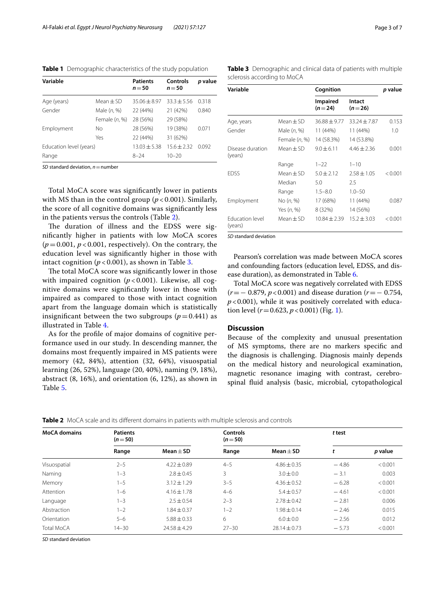<span id="page-2-0"></span>**Table 1** Demographic characteristics of the study population

| Variable                |                 | <b>Patients</b><br>$n = 50$ | Controls<br>$n = 50$ | p value |
|-------------------------|-----------------|-----------------------------|----------------------|---------|
| Age (years)             | Mean $\pm$ SD   | $35.06 + 8.97$              | $33.3 + 5.56$        | 0.318   |
| Gender                  | Male $(n, %)$   | 22 (44%)                    | 21 (42%)             | 0.840   |
|                         | Female $(n, %)$ | 28 (56%)                    | 29 (58%)             |         |
| Employment              | Nο              | 28 (56%)                    | 19 (38%)             | 0.071   |
|                         | Yes             | 22 (44%)                    | 31 (62%)             |         |
| Education level (years) |                 | $13.03 \pm 5.38$            | $15.6 + 2.32$        | 0.092   |
| Range                   |                 | $8 - 24$                    | $10 - 20$            |         |

*SD* standard deviation, *n*=number

Total MoCA score was signifcantly lower in patients with MS than in the control group (*p* < 0.001). Similarly, the score of all cognitive domains was signifcantly less in the patients versus the controls (Table [2](#page-2-1)).

The duration of illness and the EDSS were signifcantly higher in patients with low MoCA scores  $(p=0.001, p<0.001,$  respectively). On the contrary, the education level was signifcantly higher in those with intact cognition  $(p < 0.001)$ , as shown in Table [3.](#page-2-2)

The total MoCA score was significantly lower in those with impaired cognition  $(p < 0.001)$ . Likewise, all cognitive domains were signifcantly lower in those with impaired as compared to those with intact cognition apart from the language domain which is statistically insignificant between the two subgroups  $(p=0.441)$  as illustrated in Table [4](#page-3-0).

As for the profle of major domains of cognitive performance used in our study. In descending manner, the domains most frequently impaired in MS patients were memory (42, 84%), attention (32, 64%), visuospatial learning (26, 52%), language (20, 40%), naming (9, 18%), abstract (8, 16%), and orientation (6, 12%), as shown in Table [5](#page-3-1).

| Variable                          |                 | Cognition            |                    | p value |
|-----------------------------------|-----------------|----------------------|--------------------|---------|
|                                   |                 | Impaired<br>$(n=24)$ | Intact<br>$(n=26)$ |         |
| Age, years                        | $Mean + SD$     | $36.88 + 9.77$       | $33.24 + 7.87$     | 0.153   |
| Gender                            | Male (n, %)     | 11 (44%)             | 11 (44%)           | 1.0     |
|                                   | Female $(n, %)$ | 14 (58.3%)           | 14 (53.8%)         |         |
| Disease duration<br>(years)       | $Mean + SD$     | $9.0 + 6.11$         | $4.46 + 2.36$      | 0.001   |
|                                   | Range           | $1 - 22$             | $1 - 10$           |         |
| <b>FDSS</b>                       | $Mean + SD$     | $5.0 + 2.12$         | $7.58 + 1.05$      | < 0.001 |
|                                   | Median          | 5.0                  | 2.5                |         |
|                                   | Range           | $1.5 - 8.0$          | $1.0 - 50$         |         |
| Employment                        | No(n, %)        | 17 (68%)             | 11 (44%)           | 0.087   |
|                                   | Yes (n, %)      | 8 (32%)              | 14 (56%)           |         |
| <b>Fducation level</b><br>(years) | Mean $+$ SD     | $10.84 + 2.39$       | $15.2 \pm 3.03$    | < 0.001 |

*SD* standard deviation

Pearson's correlation was made between MoCA scores and confounding factors (education level, EDSS, and disease duration), as demonstrated in Table [6.](#page-3-2)

Total MoCA score was negatively correlated with EDSS (*r*=− 0.879, *p*<0.001) and disease duration (*r*=− 0.754,  $p$ <0.001), while it was positively correlated with education level  $(r=0.623, p<0.001)$  $(r=0.623, p<0.001)$  (Fig. 1).

# **Discussion**

Because of the complexity and unusual presentation of MS symptoms, there are no markers specifc and the diagnosis is challenging. Diagnosis mainly depends on the medical history and neurological examination, magnetic resonance imaging with contrast, cerebrospinal fuid analysis (basic, microbial, cytopathological

<span id="page-2-1"></span>

| <b>MoCA</b> domains | <b>Patients</b><br>$(n=50)$ |                 | <b>Controls</b><br>$(n=50)$ |                  | t test  |         |
|---------------------|-----------------------------|-----------------|-----------------------------|------------------|---------|---------|
|                     | Range                       | Mean $\pm$ SD   | Range                       | Mean $\pm$ SD    |         | p value |
| Visuospatial        | $2 - 5$                     | $4.22 \pm 0.89$ | $4 - 5$                     | $4.86 \pm 0.35$  | $-4.86$ | < 0.001 |
| Naming              | $-3$                        | $2.8 \pm 0.45$  | 3                           | $3.0 \pm 0.0$    | $-3.1$  | 0.003   |
| Memory              | $1 - 5$                     | $3.12 \pm 1.29$ | $3 - 5$                     | $4.36 \pm 0.52$  | $-6.28$ | < 0.001 |
| Attention           | 1-6                         | $4.16 \pm 1.78$ | $4 - 6$                     | $5.4 \pm 0.57$   | $-4.61$ | < 0.001 |
| Language            | $-3$                        | $2.5 \pm 0.54$  | $2 - 3$                     | $2.78 \pm 0.42$  | $-2.81$ | 0.006   |
| Abstraction         | $1 - 2$                     | $1.84 \pm 0.37$ | $1 - 2$                     | $1.98 \pm 0.14$  | $-2.46$ | 0.015   |
| Orientation         | $5 - 6$                     | $5.88 \pm 0.33$ | 6                           | $6.0 + 0.0$      | $-2.56$ | 0.012   |
| Total MoCA          | $14 - 30$                   | $74.58 + 4.29$  | $27 - 30$                   | $28.14 \pm 0.73$ | $-5.73$ | < 0.001 |

*SD* standard deviation

<span id="page-2-2"></span>**Table 3** Demographic and clinical data of patients with multiple sclerosis according to MoCA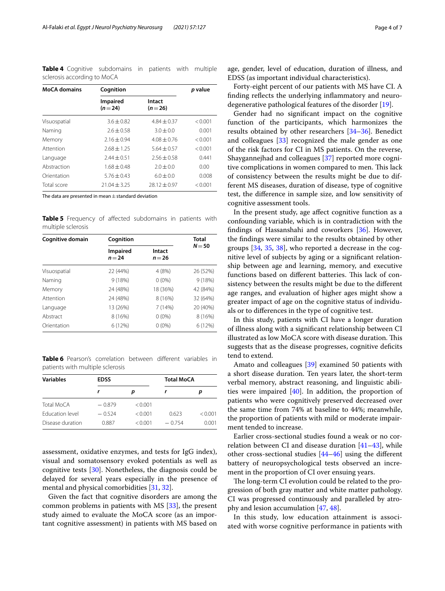<span id="page-3-0"></span>**Table 4** Cognitive subdomains in patients with multiple sclerosis according to MoCA

| <b>MoCA</b> domains | Cognition                   | p value            |         |  |
|---------------------|-----------------------------|--------------------|---------|--|
|                     | <b>Impaired</b><br>$(n=24)$ | Intact<br>$(n=26)$ |         |  |
| Visuospatial        | $3.6 + 0.82$                | $4.84 + 0.37$      | < 0.001 |  |
| Naming              | $2.6 + 0.58$                | $3.0 + 0.0$        | 0.001   |  |
| Memory              | $2.16 \pm 0.94$             | $4.08 + 0.76$      | < 0.001 |  |
| Attention           | $2.68 + 1.25$               | $5.64 + 0.57$      | < 0.001 |  |
| Language            | $2.44 \pm 0.51$             | $2.56 + 0.58$      | 0.441   |  |
| Abstraction         | $1.68 + 0.48$               | $2.0 \pm 0.0$      | 0.00    |  |
| Orientation         | $5.76 + 0.43$               | $6.0 + 0.0$        | 0.008   |  |
| Total score         | $21.04 + 3.25$              | $78.12 \pm 0.97$   | < 0.001 |  |

The data are presented in mean $\pm$ standard deviation

<span id="page-3-1"></span>**Table 5** Frequency of affected subdomains in patients with multiple sclerosis

| Cognitive domain | Cognition                   | <b>Total</b>       |          |  |
|------------------|-----------------------------|--------------------|----------|--|
|                  | <b>Impaired</b><br>$n = 24$ | Intact<br>$n = 26$ | $N = 50$ |  |
| Visuospatial     | 22 (44%)                    | 4 (8%)             | 26 (52%) |  |
| Naming           | 9(18%)                      | $0(0\%)$           | 9(18%)   |  |
| Memory           | 24 (48%)                    | 18 (36%)           | 42 (84%) |  |
| Attention        | 24 (48%)                    | 8 (16%)            | 32 (64%) |  |
| Language         | 13 (26%)                    | 7(14%)             | 20 (40%) |  |
| Abstract         | 8 (16%)                     | $0(0\%)$           | 8 (16%)  |  |
| Orientation      | 6(12%)                      | $0(0\%)$           | 6(12%)   |  |

<span id="page-3-2"></span>**Table 6** Pearson's correlation between different variables in patients with multiple sclerosis

| <b>Variables</b> | <b>EDSS</b> |         |          | <b>Total MoCA</b> |  |
|------------------|-------------|---------|----------|-------------------|--|
|                  |             |         |          | р                 |  |
| Total MoCA       | $-0.879$    | < 0.001 |          |                   |  |
| Education level  | $-0.524$    | < 0.001 | 0.623    | < 0.001           |  |
| Disease duration | 0.887       | < 0.001 | $-0.754$ | 0.001             |  |

assessment, oxidative enzymes, and tests for IgG index), visual and somatosensory evoked potentials as well as cognitive tests [\[30](#page-6-10)]. Nonetheless, the diagnosis could be delayed for several years especially in the presence of mental and physical comorbidities [\[31](#page-6-11), [32](#page-6-12)].

Given the fact that cognitive disorders are among the common problems in patients with MS [[33\]](#page-6-13), the present study aimed to evaluate the MoCA score (as an important cognitive assessment) in patients with MS based on

age, gender, level of education, duration of illness, and EDSS (as important individual characteristics).

Forty-eight percent of our patients with MS have CI. A fnding refects the underlying infammatory and neurodegenerative pathological features of the disorder [\[19](#page-5-15)].

Gender had no signifcant impact on the cognitive function of the participants, which harmonizes the results obtained by other researchers [[34](#page-6-14)[–36](#page-6-15)]. Benedict and colleagues [[33\]](#page-6-13) recognized the male gender as one of the risk factors for CI in MS patients. On the reverse, Shaygannejhad and colleagues [\[37](#page-6-16)] reported more cognitive complications in women compared to men. This lack of consistency between the results might be due to different MS diseases, duration of disease, type of cognitive test, the diference in sample size, and low sensitivity of cognitive assessment tools.

In the present study, age afect cognitive function as a confounding variable, which is in contradiction with the fndings of Hassanshahi and coworkers [\[36](#page-6-15)]. However, the fndings were similar to the results obtained by other groups [\[34,](#page-6-14) [35](#page-6-17), [38](#page-6-18)], who reported a decrease in the cognitive level of subjects by aging or a signifcant relationship between age and learning, memory, and executive functions based on different batteries. This lack of consistency between the results might be due to the diferent age ranges, and evaluation of higher ages might show a greater impact of age on the cognitive status of individuals or to diferences in the type of cognitive test.

In this study, patients with CI have a longer duration of illness along with a signifcant relationship between CI illustrated as low MoCA score with disease duration. This suggests that as the disease progresses, cognitive deficits tend to extend.

Amato and colleagues [\[39](#page-6-19)] examined 50 patients with a short disease duration. Ten years later, the short-term verbal memory, abstract reasoning, and linguistic abilities were impaired  $[40]$ . In addition, the proportion of patients who were cognitively preserved decreased over the same time from 74% at baseline to 44%; meanwhile, the proportion of patients with mild or moderate impairment tended to increase.

Earlier cross-sectional studies found a weak or no correlation between CI and disease duration [\[41](#page-6-21)[–43](#page-6-22)], while other cross-sectional studies [[44–](#page-6-23)[46](#page-6-24)] using the diferent battery of neuropsychological tests observed an increment in the proportion of CI over ensuing years.

The long-term CI evolution could be related to the progression of both gray matter and white matter pathology. CI was progressed continuously and paralleled by atrophy and lesion accumulation [\[47,](#page-6-25) [48](#page-6-26)].

In this study, low education attainment is associated with worse cognitive performance in patients with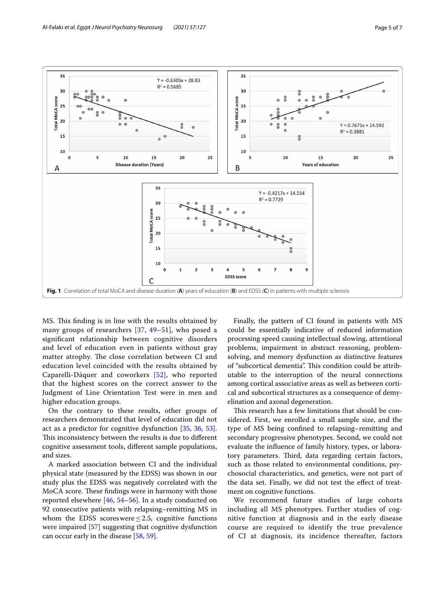

<span id="page-4-0"></span>MS. This finding is in line with the results obtained by many groups of researchers [[37,](#page-6-16) [49–](#page-6-27)[51](#page-6-28)], who posed a signifcant relationship between cognitive disorders and level of education even in patients without gray matter atrophy. The close correlation between CI and education level coincided with the results obtained by Caparelli-Dáquer and coworkers [[52](#page-6-29)], who reported that the highest scores on the correct answer to the Judgment of Line Orientation Test were in men and higher education groups.

On the contrary to these results, other groups of researchers demonstrated that level of education did not act as a predictor for cognitive dysfunction [\[35](#page-6-17), [36,](#page-6-15) [53](#page-6-30)]. This inconsistency between the results is due to different cognitive assessment tools, diferent sample populations, and sizes.

A marked association between CI and the individual physical state (measured by the EDSS) was shown in our study plus the EDSS was negatively correlated with the MoCA score. These findings were in harmony with those reported elsewhere [[46](#page-6-24), [54](#page-6-31)[–56](#page-6-32)]. In a study conducted on 92 consecutive patients with relapsing–remitting MS in whom the EDSS scores were  $\leq$  2.5, cognitive functions were impaired [[57](#page-6-33)] suggesting that cognitive dysfunction can occur early in the disease [\[58](#page-6-34), [59\]](#page-6-35).

Finally, the pattern of CI found in patients with MS could be essentially indicative of reduced information processing speed causing intellectual slowing, attentional problems, impairment in abstract reasoning, problemsolving, and memory dysfunction as distinctive features of "subcortical dementia". This condition could be attributable to the interruption of the neural connections among cortical associative areas as well as between cortical and subcortical structures as a consequence of demyelination and axonal degeneration.

This research has a few limitations that should be considered. First, we enrolled a small sample size, and the type of MS being confned to relapsing–remitting and secondary progressive phenotypes. Second, we could not evaluate the infuence of family history, types, or laboratory parameters. Third, data regarding certain factors, such as those related to environmental conditions, psychosocial characteristics, and genetics, were not part of the data set. Finally, we did not test the efect of treatment on cognitive functions.

We recommend future studies of large cohorts including all MS phenotypes. Further studies of cognitive function at diagnosis and in the early disease course are required to identify the true prevalence of CI at diagnosis, its incidence thereafter, factors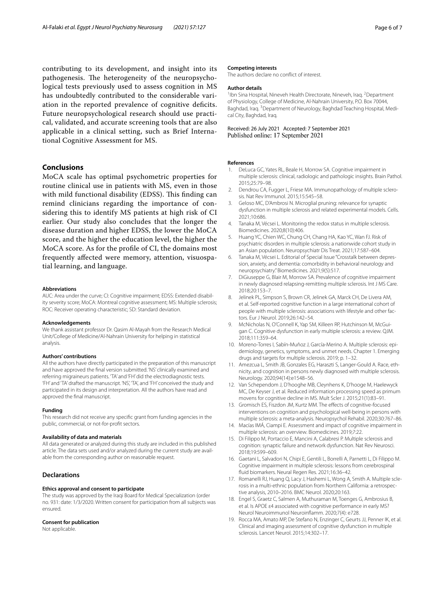contributing to its development, and insight into its pathogenesis. The heterogeneity of the neuropsychological tests previously used to assess cognition in MS has undoubtedly contributed to the considerable variation in the reported prevalence of cognitive deficits. Future neuropsychological research should use practical, validated, and accurate screening tools that are also applicable in a clinical setting, such as Brief International Cognitive Assessment for MS.

## **Conclusions**

MoCA scale has optimal psychometric properties for routine clinical use in patients with MS, even in those with mild functional disability (EDSS). This finding can remind clinicians regarding the importance of considering this to identify MS patients at high risk of CI earlier. Our study also concludes that the longer the disease duration and higher EDSS, the lower the MoCA score, and the higher the education level, the higher the MoCA score. As for the profle of CI, the domains most frequently afected were memory, attention, visuospatial learning, and language.

#### **Abbreviations**

AUC: Area under the curve; CI: Cognitive impairment; EDSS: Extended disability severity score; MoCA: Montreal cognitive assessment; MS: Multiple sclerosis; ROC: Receiver operating characteristic; SD: Standard deviation.

#### **Acknowledgements**

We thank assistant professor Dr. Qasim Al-Mayah from the Research Medical Unit/College of Medicine/Al-Nahrain University for helping in statistical analysis.

#### **Authors' contributions**

All the authors have directly participated in the preparation of this manuscript and have approved the fnal version submitted. 'NS' clinically examined and referring migraineurs patients. 'TA' and 'FH' did the electrodiagnostic tests. 'FH' and 'TA' drafted the manuscript. 'NS', 'TA', and 'FH' conceived the study and participated in its design and interpretation. All the authors have read and approved the fnal manuscript.

#### **Funding**

This research did not receive any specifc grant from funding agencies in the public, commercial, or not-for-proft sectors.

#### **Availability of data and materials**

All data generated or analyzed during this study are included in this published article. The data sets used and/or analyzed during the current study are available from the corresponding author on reasonable request.

#### **Declarations**

#### **Ethics approval and consent to participate**

The study was approved by the Iraqi Board for Medical Specialization (order no. 931: date: 1/3/2020. Written consent for participation from all subjects was ensured.

#### **Consent for publication**

Not applicable.

#### **Competing interests**

The authors declare no confict of interest.

#### **Author details**

<sup>1</sup>Ibn Sina Hospital, Nineveh Health Directorate, Nineveh, Iraq. <sup>2</sup>Department of Physiology, College of Medicine, Al-Nahrain University, P.O. Box 70044, Baghdad, Iraq. <sup>3</sup> Department of Neurology, Baghdad Teaching Hospital, Medical City, Baghdad, Iraq.

Received: 26 July 2021 Accepted: 7 September 2021 Published online: 17 September 2021

#### **References**

- <span id="page-5-0"></span>1. DeLuca GC, Yates RL, Beale H, Morrow SA. Cognitive impairment in multiple sclerosis: clinical, radiologic and pathologic insights. Brain Pathol. 2015;25:79–98.
- 2. Dendrou CA, Fugger L, Friese MA. Immunopathology of multiple sclerosis. Nat Rev Immunol. 2015;15:545–58.
- <span id="page-5-1"></span>3. Geloso MC, D'Ambrosi N. Microglial pruning: relevance for synaptic dysfunction in multiple sclerosis and related experimental models. Cells. 2021;10:686.
- <span id="page-5-2"></span>4. Tanaka M, Vécsei L. Monitoring the redox status in multiple sclerosis. Biomedicines. 2020;8(10):406.
- 5. Huang YC, Chien WC, Chung CH, Chang HA, Kao YC, Wan FJ. Risk of psychiatric disorders in multiple sclerosis: a nationwide cohort study in an Asian population. Neuropsychiatr Dis Treat. 2021;17:587–604.
- <span id="page-5-3"></span>6. Tanaka M, Vécsei L. Editorial of Special Issue "Crosstalk between depres‑ sion, anxiety, and dementia: comorbidity in behavioral neurology and neuropsychiatry." Biomedicines. 2021;9(5):517.
- <span id="page-5-4"></span>7. DiGiuseppe G, Blair M, Morrow SA. Prevalence of cognitive impairment in newly diagnosed relapsing-remitting multiple sclerosis. Int J MS Care. 2018;20:153–7.
- <span id="page-5-5"></span>8. Jelinek PL, Simpson S, Brown CR, Jelinek GA, Marck CH, De Livera AM, et al. Self-reported cognitive function in a large international cohort of people with multiple sclerosis: associations with lifestyle and other factors. Eur J Neurol. 2019;26:142–54.
- <span id="page-5-6"></span>9. McNicholas N, O'Connell K, Yap SM, Killeen RP, Hutchinson M, McGuigan C. Cognitive dysfunction in early multiple sclerosis: a review. QJM. 2018;111:359–64.
- <span id="page-5-7"></span>10. Moreno-Torres I, Sabín-Muñoz J, García-Merino A. Multiple sclerosis: epidemiology, genetics, symptoms, and unmet needs. Chapter 1. Emerging drugs and targets for multiple sclerosis. 2019; p. 1–32.
- <span id="page-5-8"></span>11. Amezcua L, Smith JB, Gonzales EG, Haraszti S, Langer-Gould A. Race, ethnicity, and cognition in persons newly diagnosed with multiple sclerosis. Neurology. 2020;94(14):e1548–56.
- <span id="page-5-9"></span>12. Van Schependom J, D'hooghe MB, Cleynhens K, D'hooge M, Haelewyck MC, De Keyser J, et al. Reduced information processing speed as primum movens for cognitive decline in MS. Mult Scler J. 2015;21(1):83–91.
- 13. Gromisch ES, Fiszdon JM, Kurtz MM. The effects of cognitive-focused interventions on cognition and psychological well-being in persons with multiple sclerosis: a meta-analysis. Neuropsychol Rehabil. 2020;30:767–86.
- <span id="page-5-10"></span>14. Macías IMÁ, Ciampi E. Assessment and impact of cognitive impairment in multiple sclerosis: an overview. Biomedicines. 2019;7:22.
- <span id="page-5-11"></span>15. Di Filippo M, Portaccio E, Mancini A, Calabresi P. Multiple sclerosis and cognition: synaptic failure and network dysfunction. Nat Rev Neurosci. 2018;19:599–609.
- <span id="page-5-12"></span>16. Gaetani L, Salvadori N, Chipi E, Gentili L, Borrelli A, Parnetti L, Di Filippo M. Cognitive impairment in multiple sclerosis: lessons from cerebrospinal fuid biomarkers. Neural Regen Res. 2021;16:36–42.
- <span id="page-5-13"></span>17. Romanelli RJ, Huang Q, Lacy J, Hashemi L, Wong A, Smith A. Multiple sclerosis in a multi-ethnic population from Northern California: a retrospec‑ tive analysis, 2010–2016. BMC Neurol. 2020;20:163.
- <span id="page-5-14"></span>18. Engel S, Graetz C, Salmen A, Muthuraman M, Toenges G, Ambrosius B, et al. Is APOE ε4 associated with cognitive performance in early MS? Neurol Neuroimmunol Neuroinfamm. 2020;7(4): e728.
- <span id="page-5-15"></span>19. Rocca MA, Amato MP, De Stefano N, Enzinger C, Geurts JJ, Penner IK, et al. Clinical and imaging assessment of cognitive dysfunction in multiple sclerosis. Lancet Neurol. 2015;14:302–17.